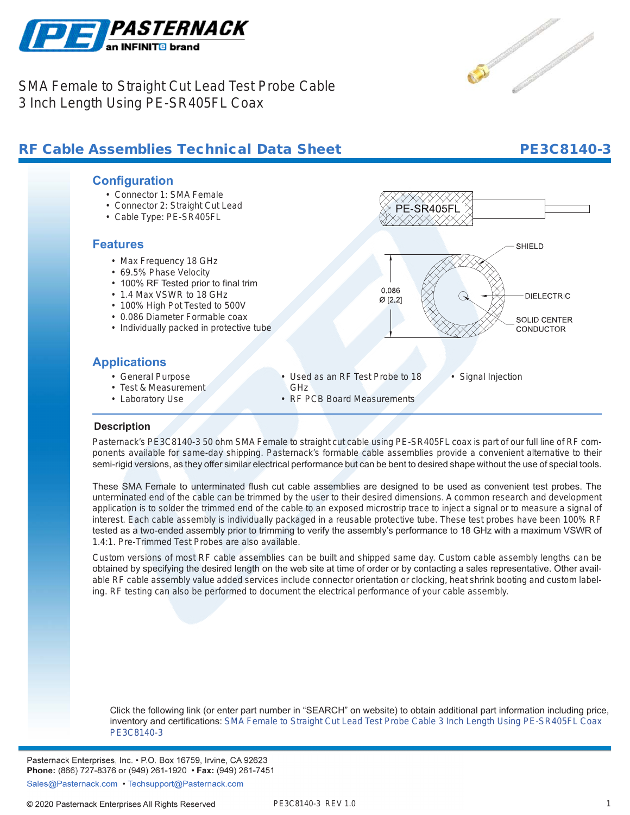

SMA Female to Straight Cut Lead Test Probe Cable 3 Inch Length Using PE-SR405FL Coax

## RF Cable Assemblies Technical Data Sheet PE3C8140-3

### **Configuration**

- Connector 1: SMA Female
- Connector 2: Straight Cut Lead
- Cable Type: PE-SR405FL

### **Features**

- Max Frequency 18 GHz
- 69.5% Phase Velocity
- 100% RF Tested prior to final trim
- 1.4 Max VSWR to 18 GHz
- 100% High Pot Tested to 500V
- 0.086 Diameter Formable coax
- Individually packed in protective tube

### **Applications**

- General Purpose
- Test & Measurement
- Laboratory Use

• Used as an RF Test Probe to 18

0.086

 $Ø$  [2.2]

- GHz
- RF PCB Board Measurements

# • Signal Injection

### **Description**

**.**

Pasternack's PE3C8140-3 50 ohm SMA Female to straight cut cable using PE-SR405FL coax is part of our full line of RF components available for same-day shipping. Pasternack's formable cable assemblies provide a convenient alternative to their semi-rigid versions, as they offer similar electrical performance but can be bent to desired shape without the use of special tools.

These SMA Female to unterminated flush cut cable assemblies are designed to be used as convenient test probes. The unterminated end of the cable can be trimmed by the user to their desired dimensions. A common research and development application is to solder the trimmed end of the cable to an exposed microstrip trace to inject a signal or to measure a signal of interest. Each cable assembly is individually packaged in a reusable protective tube. These test probes have been 100% RF tested as a two-ended assembly prior to trimming to verify the assembly's performance to 18 GHz with a maximum VSWR of 1.4:1. Pre-Trimmed Test Probes are also available.

Custom versions of most RF cable assemblies can be built and shipped same day. Custom cable assembly lengths can be obtained by specifying the desired length on the web site at time of order or by contacting a sales representative. Other available RF cable assembly value added services include connector orientation or clocking, heat shrink booting and custom labeling. RF testing can also be performed to document the electrical performance of your cable assembly.

Click the following link (or enter part number in "SEARCH" on website) to obtain additional part information including price, inventory and certifications: [SMA Female to Straight Cut Lead Test Probe Cable 3 Inch Length Using PE-SR405FL Coax](https://www.pasternack.com/sma-female-straight-cut-sexless-pe-sr405fl-cable-assembly-pe3c8140-3-p.aspx) [PE3C8140-3](https://www.pasternack.com/sma-female-straight-cut-sexless-pe-sr405fl-cable-assembly-pe3c8140-3-p.aspx)

Pasternack Enterprises, Inc. • P.O. Box 16759, Irvine, CA 92623 Phone: (866) 727-8376 or (949) 261-1920 • Fax: (949) 261-7451

Sales@Pasternack.com • Techsupport@Pasternack.com



**SHIELD** 

**DIELECTRIC** 

SOLID CENTER **CONDUCTOR** 

### 1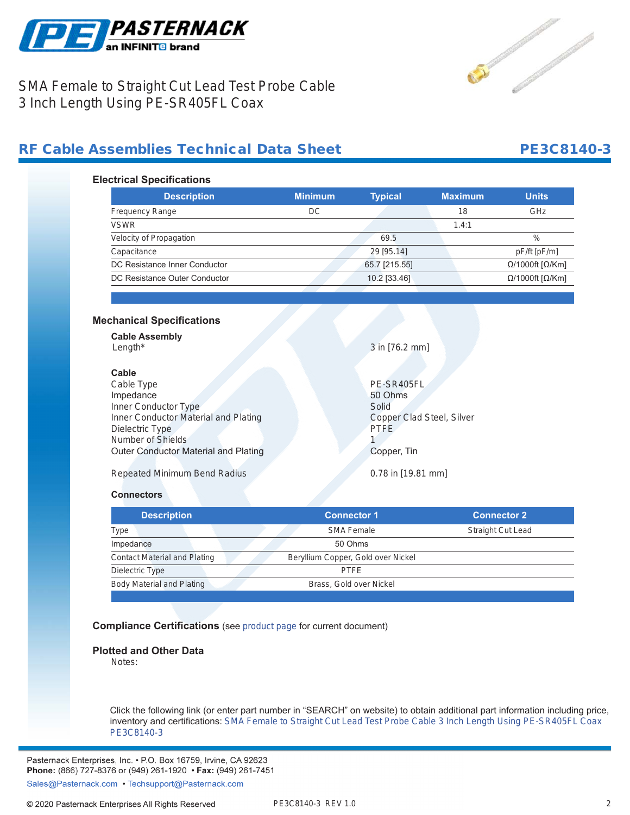

Contractor of the contractor of the contractor

## SMA Female to Straight Cut Lead Test Probe Cable 3 Inch Length Using PE-SR405FL Coax

## RF Cable Assemblies Technical Data Sheet **PE3C8140-3**

### **Electrical Specifications**

| <b>Description</b>            | <b>Minimum</b> | <b>Typical</b> | <b>Maximum</b> | <b>Units</b>                     |
|-------------------------------|----------------|----------------|----------------|----------------------------------|
| <b>Frequency Range</b>        | DC             |                | 18             | GHz                              |
| <b>VSWR</b>                   |                |                | 1.4:1          |                                  |
| Velocity of Propagation       |                | 69.5           |                | $\%$                             |
| Capacitance                   |                | 29 [95.14]     |                | pF/ft [pF/m]                     |
| DC Resistance Inner Conductor |                | 65.7 [215.55]  |                | $\Omega$ /1000ft [ $\Omega$ /Km] |
| DC Resistance Outer Conductor |                | 10.2 [33.46]   |                | $Ω/1000ft$ [ $Ω$ /Km]            |

### **Mechanical Specifications**

**Cable Assembly** Length\* 3 in [76.2 mm]

**Cable** Cable Type PE-SR405FL Impedance 50 Ohms Inner Conductor Type Solid Inner Conductor Material and Plating Copper Clad Steel, Silver Dielectric Type PTFE Number of Shields 1 Outer Conductor Material and Plating Copper, Tin

Repeated Minimum Bend Radius 0.78 in [19.81 mm]

### **Connectors**

| <b>Description</b>                  | <b>Connector 1</b>                 | <b>Connector 2</b>       |
|-------------------------------------|------------------------------------|--------------------------|
| Type                                | <b>SMA Female</b>                  | <b>Straight Cut Lead</b> |
| Impedance                           | 50 Ohms                            |                          |
| <b>Contact Material and Plating</b> | Beryllium Copper, Gold over Nickel |                          |
| Dielectric Type                     | <b>PTFE</b>                        |                          |
| Body Material and Plating           | Brass, Gold over Nickel            |                          |
|                                     |                                    |                          |

### **Compliance Certifications** (see [product page](https://www.pasternack.com/sma-female-straight-cut-sexless-pe-sr405fl-cable-assembly-pe3c8140-3-p.aspx) for current document)

### **Plotted and Other Data**

Notes:

Click the following link (or enter part number in "SEARCH" on website) to obtain additional part information including price, inventory and certifications: [SMA Female to Straight Cut Lead Test Probe Cable 3 Inch Length Using PE-SR405FL Coax](https://www.pasternack.com/sma-female-straight-cut-sexless-pe-sr405fl-cable-assembly-pe3c8140-3-p.aspx) [PE3C8140-3](https://www.pasternack.com/sma-female-straight-cut-sexless-pe-sr405fl-cable-assembly-pe3c8140-3-p.aspx)

Pasternack Enterprises, Inc. • P.O. Box 16759, Irvine, CA 92623 Phone: (866) 727-8376 or (949) 261-1920 • Fax: (949) 261-7451

Sales@Pasternack.com • Techsupport@Pasternack.com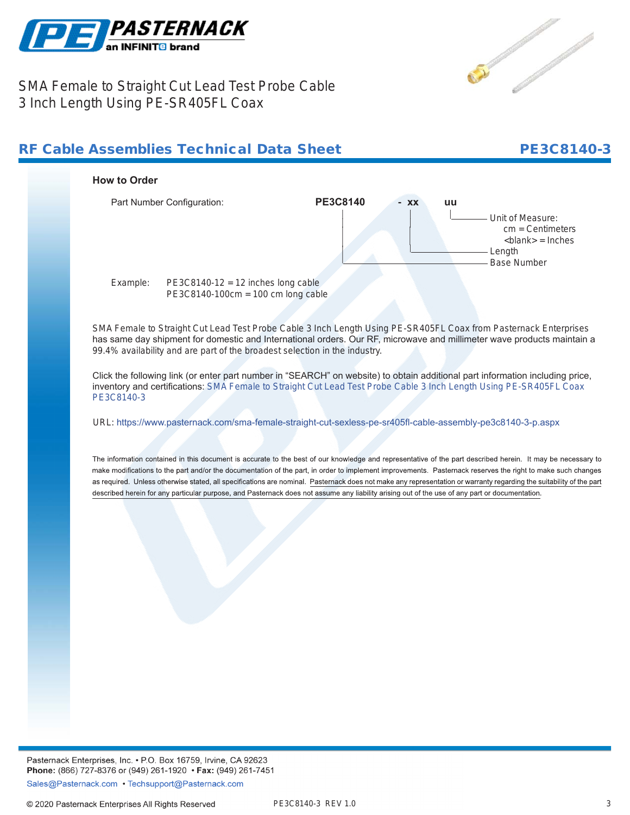



SMA Female to Straight Cut Lead Test Probe Cable 3 Inch Length Using PE-SR405FL Coax

## RF Cable Assemblies Technical Data Sheet

## PE3C8140-3



Pasternack Enterprises, Inc. • P.O. Box 16759, Irvine, CA 92623 Phone: (866) 727-8376 or (949) 261-1920 • Fax: (949) 261-7451 Sales@Pasternack.com • Techsupport@Pasternack.com

© 2020 Pasternack Enterprises All Rights Reserved